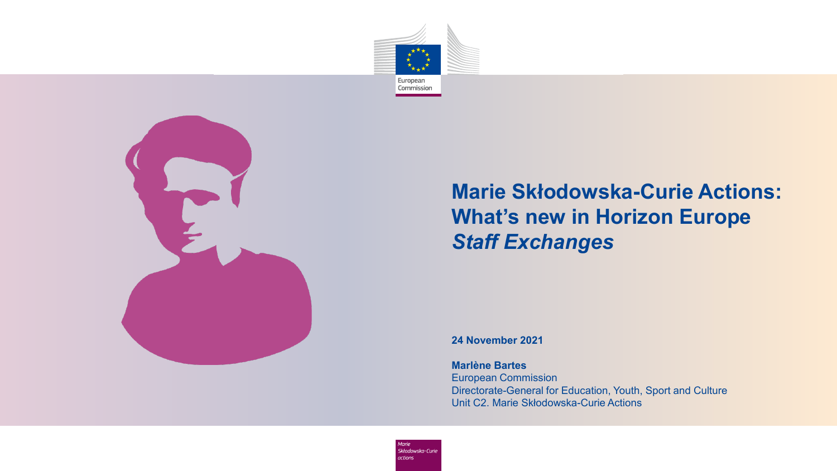



#### title video<br>Title video<br>Title video **Marie Skłodowska-Curie Actions: What's new in Horizon Europe** *Staff Exchanges*

**24 November 2021**

#### **Marlène Bartes**

European Commission Directorate-General for Education, Youth, Sport and Culture Unit C2. Marie Skłodowska-Curie Actions

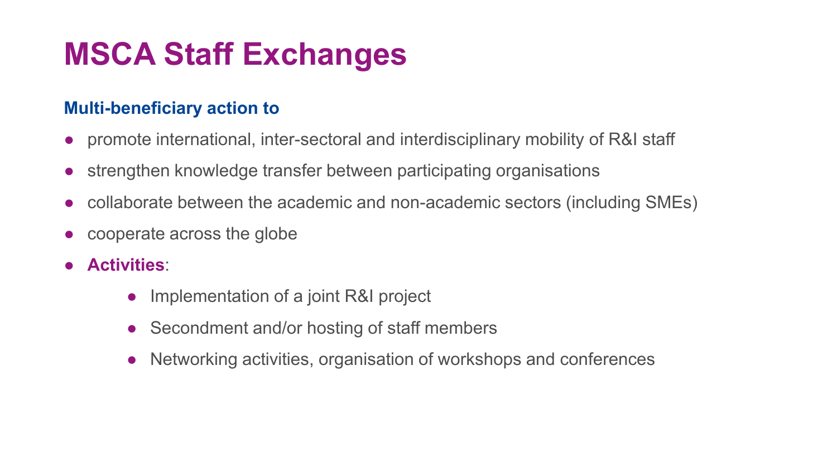## **MSCA Staff Exchanges**

### **Multi-beneficiary action to**

- promote international, inter-sectoral and interdisciplinary mobility of R&I staff
- strengthen knowledge transfer between participating organisations
- collaborate between the academic and non-academic sectors (including SMEs)
- cooperate across the globe
- **Activities**:
	- Implementation of a joint R&I project
	- Secondment and/or hosting of staff members
	- Networking activities, organisation of workshops and conferences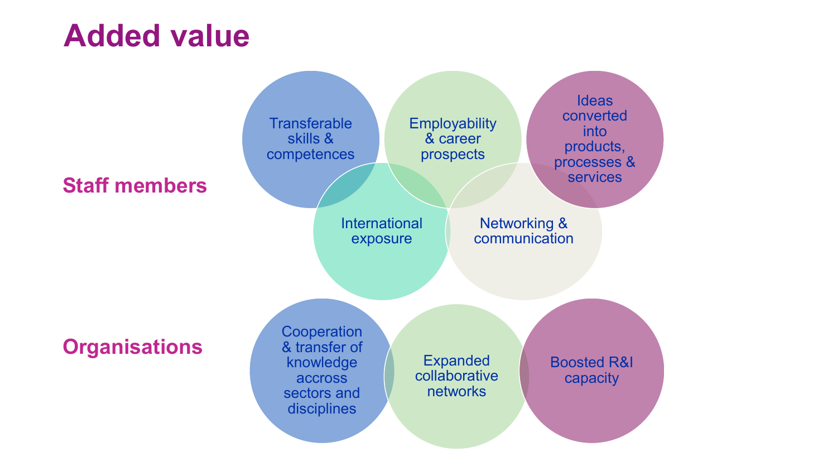### **Added value**

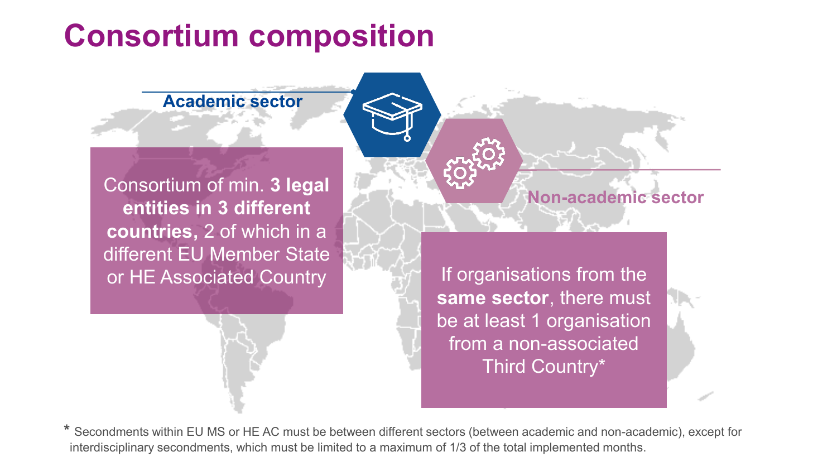### **Consortium composition**

**Academic sector**

Consortium of min. **3 legal entities in 3 different countries,** 2 of which in a different EU Member State or HE Associated Country **If the Internal Section** Sections from the

**same sector**, there must be at least 1 organisation from a non-associated Third Country\*

**Non-academic sector**

**\*** Secondments within EU MS or HE AC must be between different sectors (between academic and non-academic), except for interdisciplinary secondments, which must be limited to a maximum of 1/3 of the total implemented months.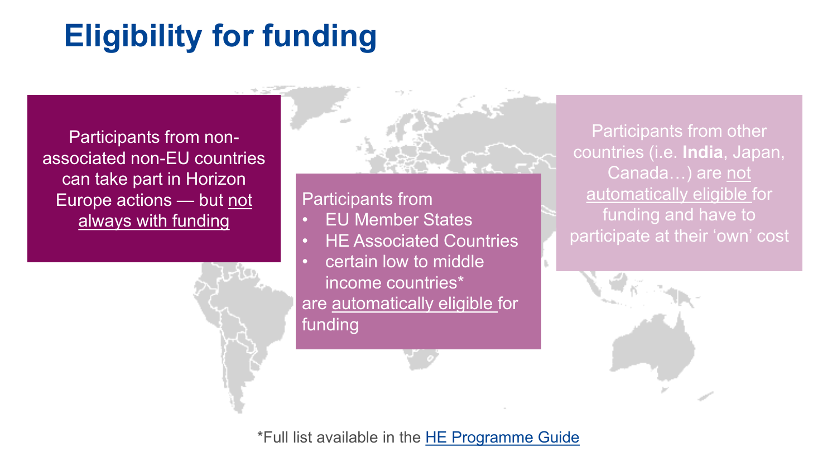# **Eligibility for funding**

Participants from nonassociated non-EU countries can take part in Horizon Europe actions — but not always with funding



#### Participants from

- **EU Member States**
- HE Associated Countries
- certain low to middle income countries\* are automatically eligible for funding

Participants from other countries (i.e. **India**, Japan, Canada...) are not automatically eligible for funding and have to participate at their 'own' cost



\*Full list available in the [HE Programme Guide](https://ec.europa.eu/info/funding-tenders/opportunities/docs/2021-2027/horizon/guidance/programme-guide_horizon_en.pdf)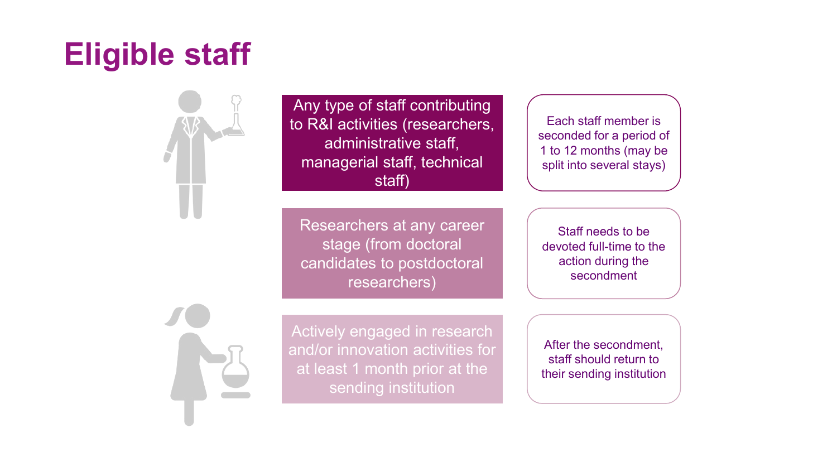# **Eligible staff**



Any type of staff contributing to R&I activities (researchers, administrative staff, managerial staff, technical staff)

Each staff member is seconded for a period of 1 to 12 months (may be split into several stays)

Researchers at any career stage (from doctoral candidates to postdoctoral researchers)

Staff needs to be devoted full-time to the action during the secondment

Actively engaged in research and/or innovation activities for at least 1 month prior at the sending institution After the secondment, staff should return to their sending institution

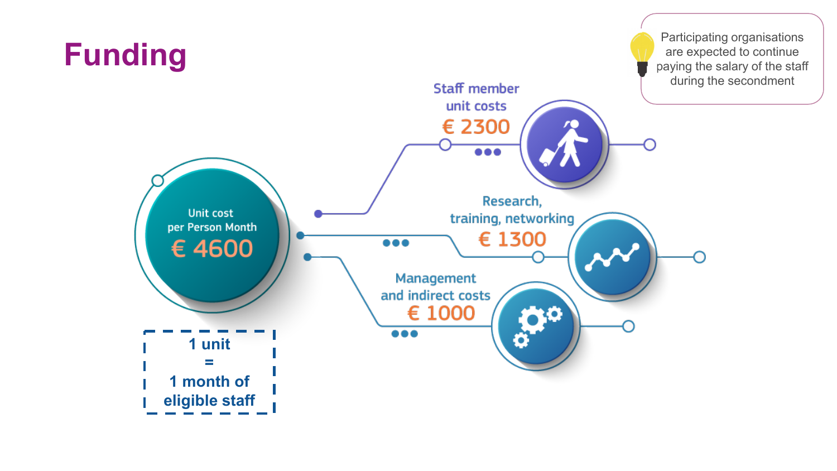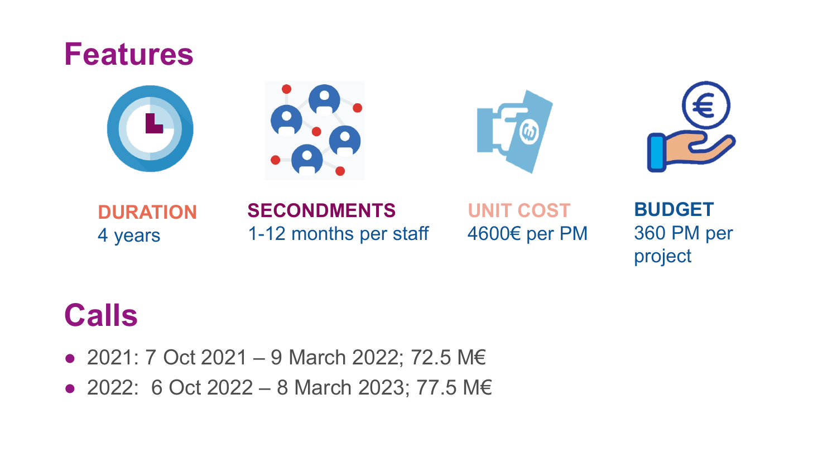### **Features**









### **DURATION** 4 years

**SECONDMENTS** 1-12 months per staff

**UNIT COST** 4600€ per PM

**BUDGET** 360 PM per project

## **Calls**

- 2021: 7 Oct 2021 9 March 2022; 72.5 M€
- 2022: 6 Oct 2022 8 March 2023; 77.5 M€